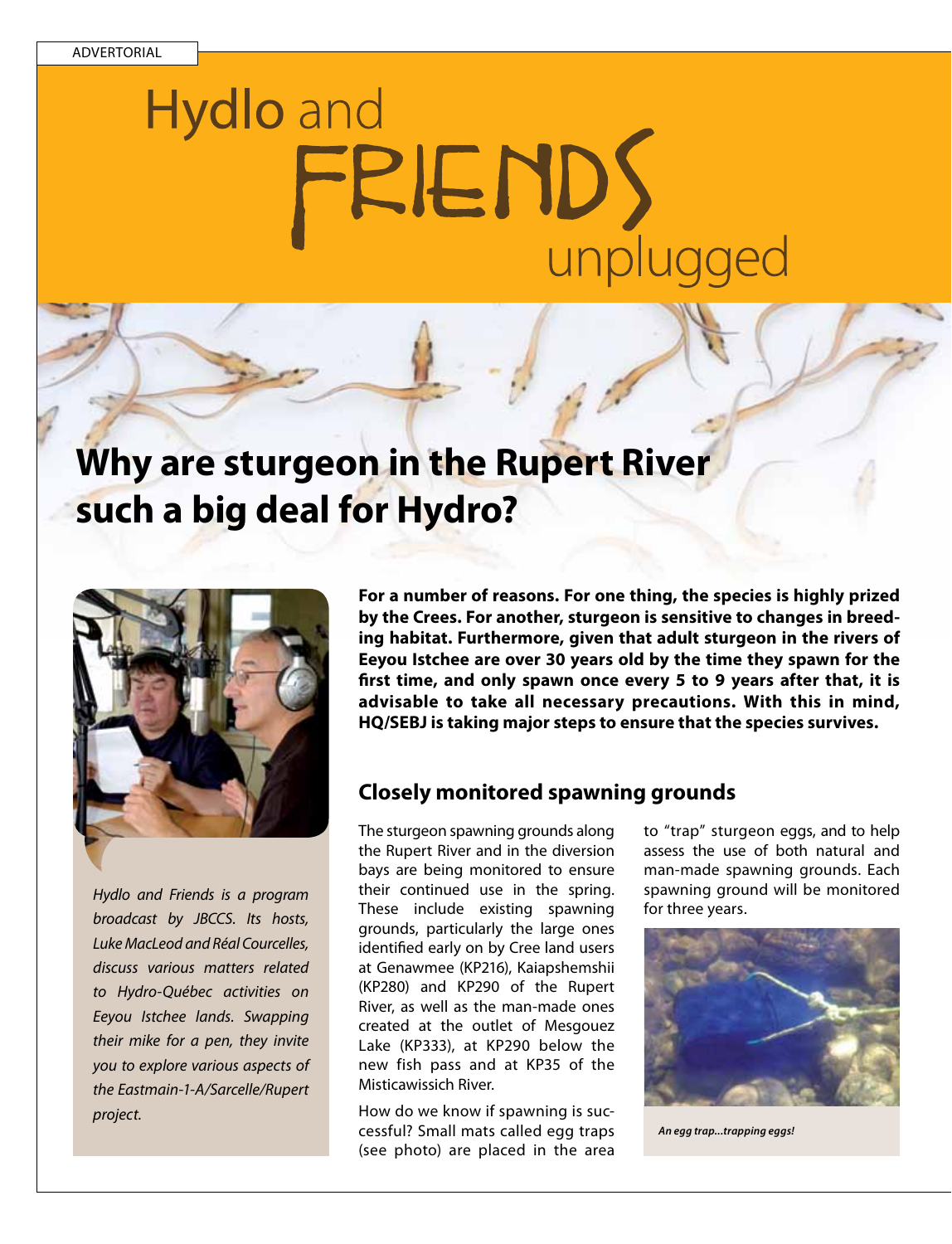# **Hydlo** and FRIENDS unplugged

## **Why are sturgeon in the Rupert River such a big deal for Hydro?**



*Hydlo and Friends is a program broadcast by JBCCS. Its hosts, Luke MacLeod and Réal Courcelles, discuss various matters related to Hydro-Québec activities on Eeyou Istchee lands. Swapping their mike for a pen, they invite you to explore various aspects of the Eastmain-1-A/Sarcelle/Rupert project.* 

**For a number of reasons. For one thing, the species is highly prized by the Crees. For another, sturgeon is sensitive to changes in breeding habitat. Furthermore, given that adult sturgeon in the rivers of Eeyou Istchee are over 30 years old by the time they spawn for the first time, and only spawn once every 5 to 9 years after that, it is advisable to take all necessary precautions. With this in mind, HQ/SEBJ is taking major steps to ensure that the species survives.**

#### **Closely monitored spawning grounds**

The sturgeon spawning grounds along the Rupert River and in the diversion bays are being monitored to ensure their continued use in the spring. These include existing spawning grounds, particularly the large ones identified early on by Cree land users at Genawmee (KP216), Kaiapshemshii (KP280) and KP290 of the Rupert River, as well as the man-made ones created at the outlet of Mesgouez Lake (KP333), at KP290 below the new fish pass and at KP35 of the Misticawissich River.

How do we know if spawning is successful? Small mats called egg traps (see photo) are placed in the area

to "trap" sturgeon eggs, and to help assess the use of both natural and man-made spawning grounds. Each spawning ground will be monitored for three years.



*An egg trap...trapping eggs!*